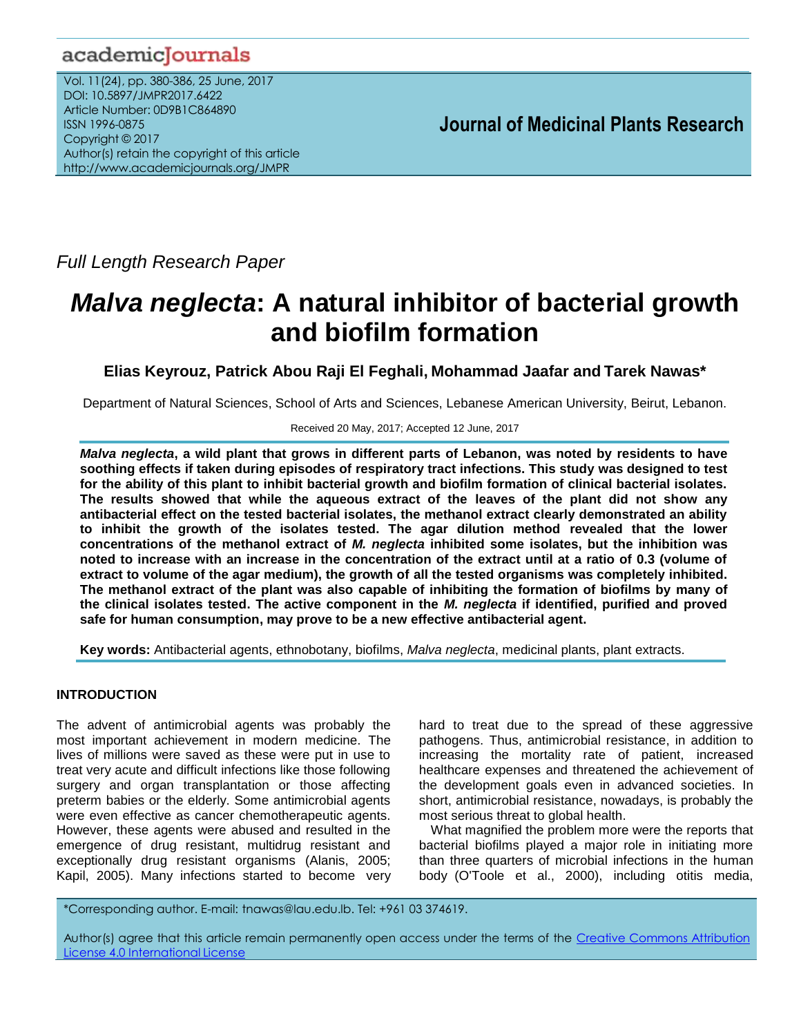# academicJournals

Vol. 11(24), pp. 380-386, 25 June, 2017 DOI: 10.5897/JMPR2017.6422 Article Number: 0D9B1C864890 ISSN 1996-0875 Copyright © 2017 Author(s) retain the copyright of this article http://www.academicjournals.org/JMPR

 **Journal of Medicinal Plants Research**

*Full Length Research Paper*

# *Malva neglecta***: A natural inhibitor of bacterial growth and biofilm formation**

**Elias Keyrouz, Patrick Abou Raji El Feghali, Mohammad Jaafar and Tarek Nawas\***

Department of Natural Sciences, School of Arts and Sciences, Lebanese American University, Beirut, Lebanon.

### Received 20 May, 2017; Accepted 12 June, 2017

*Malva neglecta***, a wild plant that grows in different parts of Lebanon, was noted by residents to have soothing effects if taken during episodes of respiratory tract infections. This study was designed to test for the ability of this plant to inhibit bacterial growth and biofilm formation of clinical bacterial isolates. The results showed that while the aqueous extract of the leaves of the plant did not show any antibacterial effect on the tested bacterial isolates, the methanol extract clearly demonstrated an ability to inhibit the growth of the isolates tested. The agar dilution method revealed that the lower concentrations of the methanol extract of** *M. neglecta* **inhibited some isolates, but the inhibition was noted to increase with an increase in the concentration of the extract until at a ratio of 0.3 (volume of extract to volume of the agar medium), the growth of all the tested organisms was completely inhibited. The methanol extract of the plant was also capable of inhibiting the formation of biofilms by many of the clinical isolates tested. The active component in the** *M. neglecta* **if identified, purified and proved safe for human consumption, may prove to be a new effective antibacterial agent.**

**Key words:** Antibacterial agents, ethnobotany, biofilms, *Malva neglecta*, medicinal plants, plant extracts.

# **INTRODUCTION**

The advent of antimicrobial agents was probably the most important achievement in modern medicine. The lives of millions were saved as these were put in use to treat very acute and difficult infections like those following surgery and organ transplantation or those affecting preterm babies or the elderly. Some antimicrobial agents were even effective as cancer chemotherapeutic agents. However, these agents were abused and resulted in the emergence of drug resistant, multidrug resistant and exceptionally drug resistant organisms (Alanis, 2005; Kapil, 2005). Many infections started to become very hard to treat due to the spread of these aggressive pathogens. Thus, antimicrobial resistance, in addition to increasing the mortality rate of patient, increased healthcare expenses and threatened the achievement of the development goals even in advanced societies. In short, antimicrobial resistance, nowadays, is probably the most serious threat to global health.

What magnified the problem more were the reports that bacterial biofilms played a major role in initiating more than three quarters of microbial infections in the human body (O'Toole et al., 2000), including otitis media,

\*Corresponding author. E-mail: tnawas@lau.edu.lb. Tel: +961 03 374619.

Author(s) agree that this article remain permanently open access under the terms of the Creative Commons Attribution License 4.0 [International](http://creativecommons.org/licenses/by/4.0/deed.en_US) License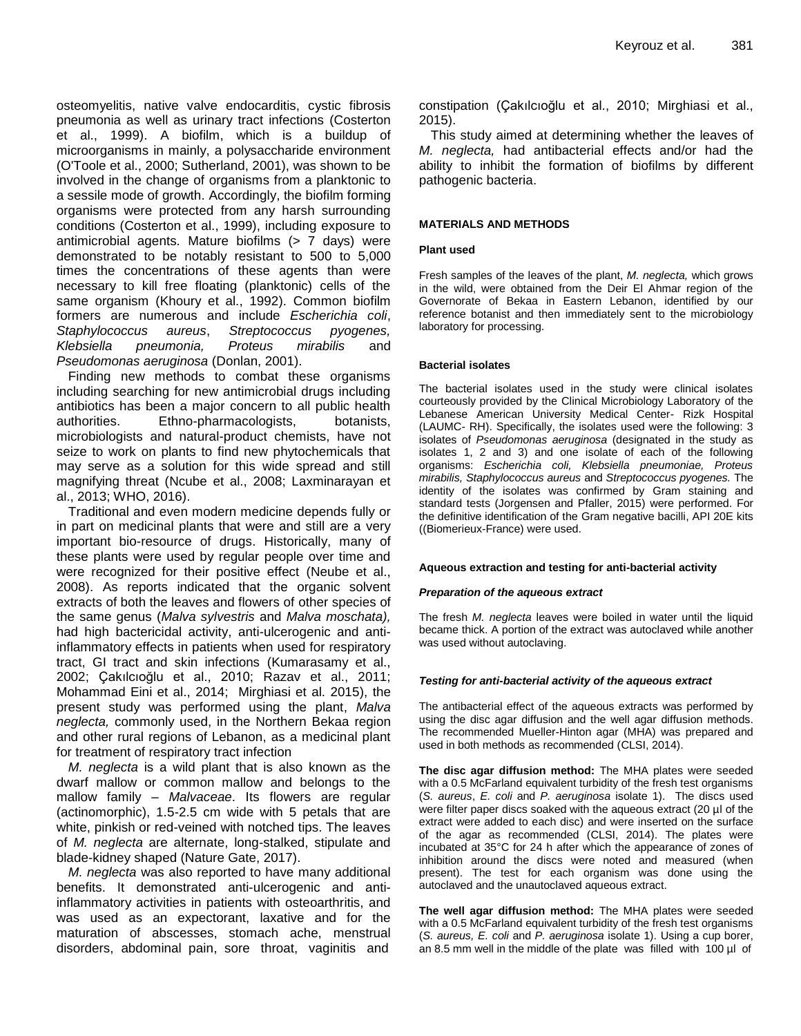osteomyelitis, native valve endocarditis, cystic fibrosis pneumonia as well as urinary tract infections (Costerton et al., 1999). A biofilm, which is a buildup of microorganisms in mainly, a polysaccharide environment (O'Toole et al., 2000; Sutherland, 2001), was shown to be involved in the change of organisms from a planktonic to a sessile mode of growth. Accordingly, the biofilm forming organisms were protected from any harsh surrounding conditions (Costerton et al., 1999), including exposure to antimicrobial agents. Mature biofilms (> 7 days) were demonstrated to be notably resistant to 500 to 5,000 times the concentrations of these agents than were necessary to kill free floating (planktonic) cells of the same organism (Khoury et al., 1992). Common biofilm formers are numerous and include *Escherichia coli*, *Staphylococcus aureus*, *Streptococcus pyogenes, Klebsiella pneumonia, Proteus mirabilis* and *Pseudomonas aeruginosa* (Donlan, 2001).

Finding new methods to combat these organisms including searching for new antimicrobial drugs including antibiotics has been a major concern to all public health authorities. Ethno-pharmacologists, botanists, microbiologists and natural-product chemists, have not seize to work on plants to find new phytochemicals that may serve as a solution for this wide spread and still magnifying threat (Ncube et al., 2008; Laxminarayan et al., 2013; WHO, 2016).

Traditional and even modern medicine depends fully or in part on medicinal plants that were and still are a very important bio-resource of drugs. Historically, many of these plants were used by regular people over time and were recognized for their positive effect (Neube et al., 2008). As reports indicated that the organic solvent extracts of both the leaves and flowers of other species of the same genus (*Malva sylvestris* and *Malva moschata),* had high bactericidal activity, anti-ulcerogenic and antiinflammatory effects in patients when used for respiratory tract, GI tract and skin infections (Kumarasamy et al., 2002; Çakılcıoğlu et al., 2010; Razav et al., 2011; Mohammad Eini et al., 2014; Mirghiasi et al. 2015), the present study was performed using the plant, *Malva neglecta,* commonly used, in the Northern Bekaa region and other rural regions of Lebanon, as a medicinal plant for treatment of respiratory tract infection

*M. neglecta* is a wild plant that is also known as the dwarf mallow or common mallow and belongs to the mallow family – *Malvaceae*. Its flowers are regular (actinomorphic), 1.5-2.5 cm wide with 5 petals that are white, pinkish or red-veined with notched tips. The leaves of *M. neglecta* are alternate, long-stalked, stipulate and blade-kidney shaped (Nature Gate, 2017).

*M. neglecta* was also reported to have many additional benefits. It demonstrated anti-ulcerogenic and antiinflammatory activities in patients with osteoarthritis, and was used as an expectorant, laxative and for the maturation of abscesses, stomach ache, menstrual disorders, abdominal pain, sore throat, vaginitis and constipation (Çakılcıoğlu et al., 2010; Mirghiasi et al., 2015).

This study aimed at determining whether the leaves of *M. neglecta,* had antibacterial effects and/or had the ability to inhibit the formation of biofilms by different pathogenic bacteria.

#### **MATERIALS AND METHODS**

#### **Plant used**

Fresh samples of the leaves of the plant, *M. neglecta,* which grows in the wild, were obtained from the Deir El Ahmar region of the Governorate of Bekaa in Eastern Lebanon, identified by our reference botanist and then immediately sent to the microbiology laboratory for processing.

#### **Bacterial isolates**

The bacterial isolates used in the study were clinical isolates courteously provided by the Clinical Microbiology Laboratory of the Lebanese American University Medical Center- Rizk Hospital (LAUMC- RH). Specifically, the isolates used were the following: 3 isolates of *Pseudomonas aeruginosa* (designated in the study as isolates 1, 2 and 3) and one isolate of each of the following organisms: *Escherichia coli, Klebsiella pneumoniae, Proteus mirabilis, Staphylococcus aureus* and *Streptococcus pyogenes.* The identity of the isolates was confirmed by Gram staining and standard tests (Jorgensen and Pfaller, 2015) were performed. For the definitive identification of the Gram negative bacilli, API 20E kits ((Biomerieux-France) were used.

#### **Aqueous extraction and testing for anti-bacterial activity**

#### *Preparation of the aqueous extract*

The fresh *M. neglecta* leaves were boiled in water until the liquid became thick. A portion of the extract was autoclaved while another was used without autoclaving.

#### *Testing for anti-bacterial activity of the aqueous extract*

The antibacterial effect of the aqueous extracts was performed by using the disc agar diffusion and the well agar diffusion methods. The recommended Mueller-Hinton agar (MHA) was prepared and used in both methods as recommended (CLSI, 2014).

**The disc agar diffusion method:** The MHA plates were seeded with a 0.5 McFarland equivalent turbidity of the fresh test organisms (*S. aureus*, *E. coli* and *P. aeruginosa* isolate 1). The discs used were filter paper discs soaked with the aqueous extract (20 µl of the extract were added to each disc) and were inserted on the surface of the agar as recommended (CLSI, 2014). The plates were incubated at 35°C for 24 h after which the appearance of zones of inhibition around the discs were noted and measured (when present). The test for each organism was done using the autoclaved and the unautoclaved aqueous extract.

**The well agar diffusion method:** The MHA plates were seeded with a 0.5 McFarland equivalent turbidity of the fresh test organisms (*S. aureus, E. coli* and *P. aeruginosa* isolate 1). Using a cup borer, an 8.5 mm well in the middle of the plate was filled with 100 µl of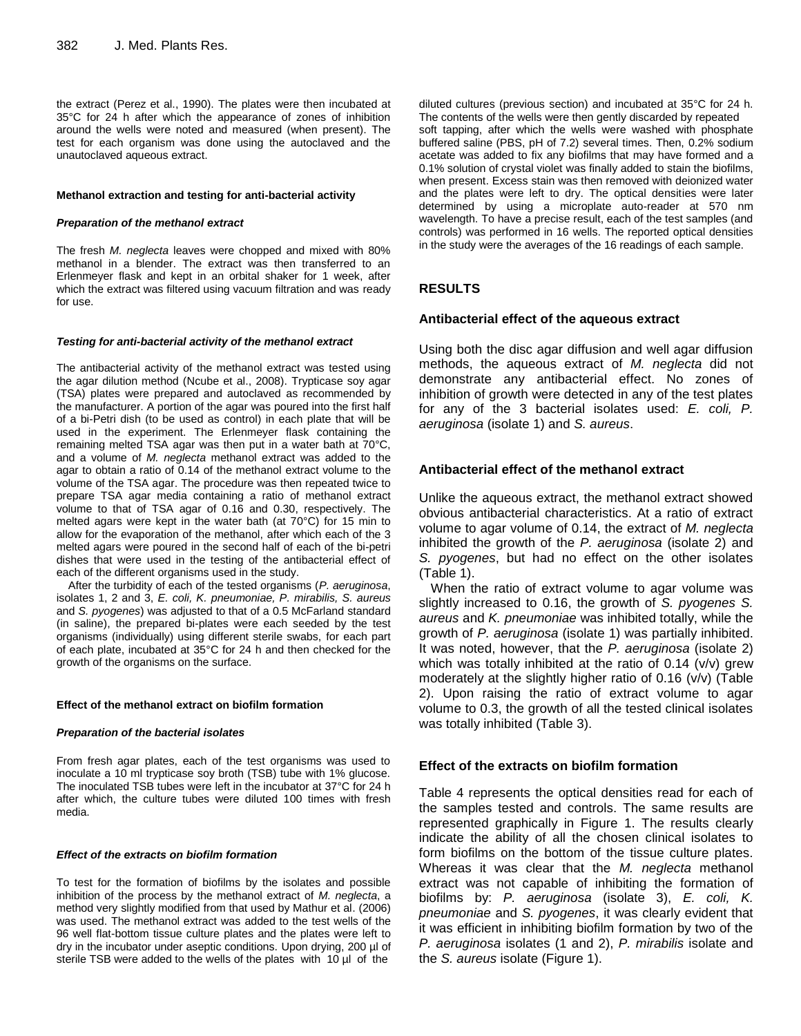the extract (Perez et al., 1990). The plates were then incubated at 35°C for 24 h after which the appearance of zones of inhibition around the wells were noted and measured (when present). The test for each organism was done using the autoclaved and the unautoclaved aqueous extract.

#### **Methanol extraction and testing for anti-bacterial activity**

#### *Preparation of the methanol extract*

The fresh *M. neglecta* leaves were chopped and mixed with 80% methanol in a blender. The extract was then transferred to an Erlenmeyer flask and kept in an orbital shaker for 1 week, after which the extract was filtered using vacuum filtration and was ready for use.

#### *Testing for anti-bacterial activity of the methanol extract*

The antibacterial activity of the methanol extract was tested using the agar dilution method (Ncube et al., 2008). Trypticase soy agar (TSA) plates were prepared and autoclaved as recommended by the manufacturer. A portion of the agar was poured into the first half of a bi-Petri dish (to be used as control) in each plate that will be used in the experiment. The Erlenmeyer flask containing the remaining melted TSA agar was then put in a water bath at 70°C, and a volume of *M. neglecta* methanol extract was added to the agar to obtain a ratio of 0.14 of the methanol extract volume to the volume of the TSA agar. The procedure was then repeated twice to prepare TSA agar media containing a ratio of methanol extract volume to that of TSA agar of 0.16 and 0.30, respectively. The melted agars were kept in the water bath (at 70°C) for 15 min to allow for the evaporation of the methanol, after which each of the 3 melted agars were poured in the second half of each of the bi-petri dishes that were used in the testing of the antibacterial effect of each of the different organisms used in the study.

After the turbidity of each of the tested organisms (*P. aeruginosa*, isolates 1, 2 and 3, *E. coli, K. pneumoniae, P. mirabilis, S. aureus*  and *S. pyogenes*) was adjusted to that of a 0.5 McFarland standard (in saline), the prepared bi-plates were each seeded by the test organisms (individually) using different sterile swabs, for each part of each plate, incubated at 35°C for 24 h and then checked for the growth of the organisms on the surface.

#### **Effect of the methanol extract on biofilm formation**

#### *Preparation of the bacterial isolates*

From fresh agar plates, each of the test organisms was used to inoculate a 10 ml trypticase soy broth (TSB) tube with 1% glucose. The inoculated TSB tubes were left in the incubator at 37°C for 24 h after which, the culture tubes were diluted 100 times with fresh media.

#### *Effect of the extracts on biofilm formation*

To test for the formation of biofilms by the isolates and possible inhibition of the process by the methanol extract of *M. neglecta*, a method very slightly modified from that used by Mathur et al. (2006) was used. The methanol extract was added to the test wells of the 96 well flat-bottom tissue culture plates and the plates were left to dry in the incubator under aseptic conditions. Upon drying, 200 µl of sterile TSB were added to the wells of the plates with 10 µl of the

diluted cultures (previous section) and incubated at 35°C for 24 h. The contents of the wells were then gently discarded by repeated soft tapping, after which the wells were washed with phosphate buffered saline (PBS, pH of 7.2) several times. Then, 0.2% sodium acetate was added to fix any biofilms that may have formed and a 0.1% solution of crystal violet was finally added to stain the biofilms, when present. Excess stain was then removed with deionized water and the plates were left to dry. The optical densities were later determined by using a microplate auto-reader at 570 nm wavelength. To have a precise result, each of the test samples (and controls) was performed in 16 wells. The reported optical densities in the study were the averages of the 16 readings of each sample.

# **RESULTS**

#### **Antibacterial effect of the aqueous extract**

Using both the disc agar diffusion and well agar diffusion methods, the aqueous extract of *M. neglecta* did not demonstrate any antibacterial effect. No zones of inhibition of growth were detected in any of the test plates for any of the 3 bacterial isolates used: *E. coli, P. aeruginosa* (isolate 1) and *S. aureus*.

#### **Antibacterial effect of the methanol extract**

Unlike the aqueous extract, the methanol extract showed obvious antibacterial characteristics. At a ratio of extract volume to agar volume of 0.14, the extract of *M. neglecta*  inhibited the growth of the *P. aeruginosa* (isolate 2) and *S. pyogenes*, but had no effect on the other isolates (Table 1).

When the ratio of extract volume to agar volume was slightly increased to 0.16, the growth of *S. pyogenes S. aureus* and *K. pneumoniae* was inhibited totally, while the growth of *P. aeruginosa* (isolate 1) was partially inhibited. It was noted, however, that the *P. aeruginosa* (isolate 2) which was totally inhibited at the ratio of 0.14 (v/v) grew moderately at the slightly higher ratio of 0.16 (v/v) (Table 2). Upon raising the ratio of extract volume to agar volume to 0.3, the growth of all the tested clinical isolates was totally inhibited (Table 3).

#### **Effect of the extracts on biofilm formation**

Table 4 represents the optical densities read for each of the samples tested and controls. The same results are represented graphically in Figure 1. The results clearly indicate the ability of all the chosen clinical isolates to form biofilms on the bottom of the tissue culture plates. Whereas it was clear that the *M. neglecta* methanol extract was not capable of inhibiting the formation of biofilms by: *P. aeruginosa* (isolate 3), *E. coli, K. pneumoniae* and *S. pyogenes*, it was clearly evident that it was efficient in inhibiting biofilm formation by two of the *P. aeruginosa* isolates (1 and 2), *P. mirabilis* isolate and the *S. aureus* isolate (Figure 1).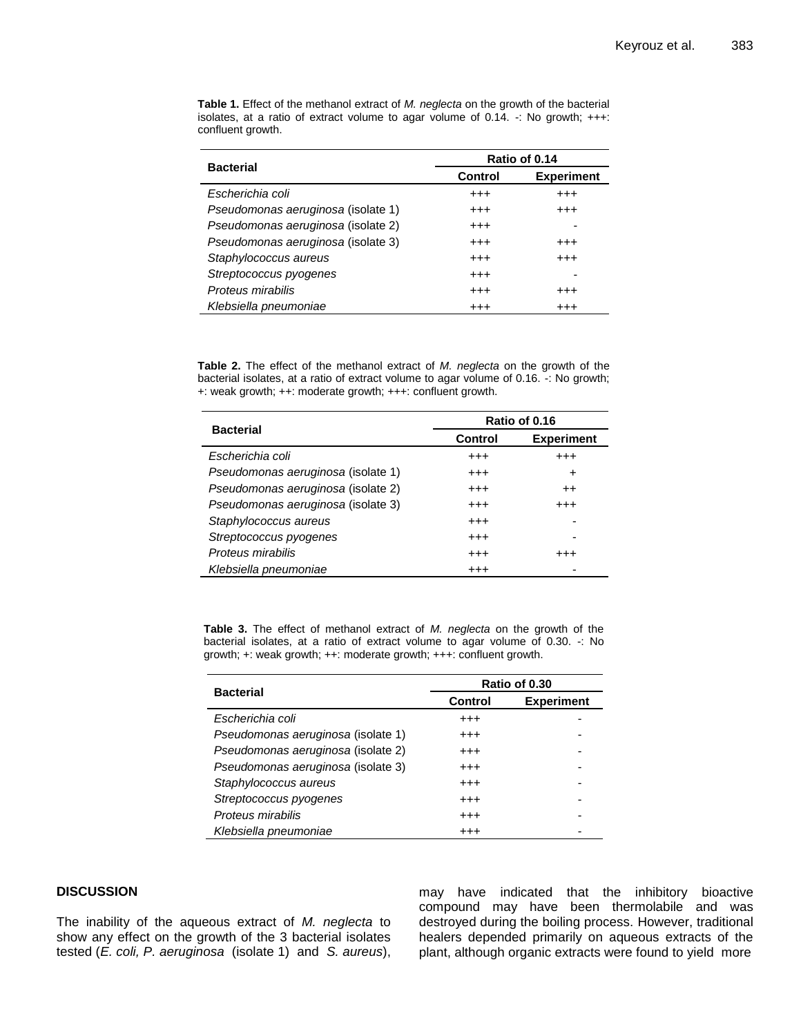| <b>Bacterial</b>                   | Ratio of 0.14 |                   |  |  |
|------------------------------------|---------------|-------------------|--|--|
|                                    | Control       | <b>Experiment</b> |  |  |
| Escherichia coli                   | $^{++}$       | $^{++}$           |  |  |
| Pseudomonas aeruginosa (isolate 1) | $^{++}$       | $^{+++}$          |  |  |
| Pseudomonas aeruginosa (isolate 2) | $^{++}$       |                   |  |  |
| Pseudomonas aeruginosa (isolate 3) | $^{++}$       | $^{++}$           |  |  |
| Staphylococcus aureus              | $^{++}$       | $^{++}$           |  |  |
| Streptococcus pyogenes             | $^{+++}$      |                   |  |  |
| Proteus mirabilis                  | $^{++}$       | $^{++}$           |  |  |
| Klebsiella pneumoniae              | $^{++}$       | $^{+++}$          |  |  |

**Table 1.** Effect of the methanol extract of *M. neglecta* on the growth of the bacterial isolates, at a ratio of extract volume to agar volume of  $0.14$ .  $\cdot$ : No growth;  $+++$ : confluent growth.

**Table 2.** The effect of the methanol extract of *M. neglecta* on the growth of the bacterial isolates, at a ratio of extract volume to agar volume of 0.16. -: No growth; +: weak growth; ++: moderate growth; +++: confluent growth.

|                                    | Ratio of 0.16  |                   |  |  |
|------------------------------------|----------------|-------------------|--|--|
| <b>Bacterial</b>                   | <b>Control</b> | <b>Experiment</b> |  |  |
| Escherichia coli                   | $^{++}$        | $^{++}$           |  |  |
| Pseudomonas aeruginosa (isolate 1) | $^{++}$        | ٠                 |  |  |
| Pseudomonas aeruginosa (isolate 2) | $^{+++}$       | $++$              |  |  |
| Pseudomonas aeruginosa (isolate 3) | $^{+++}$       | $^{+++}$          |  |  |
| Staphylococcus aureus              | $^{+++}$       |                   |  |  |
| Streptococcus pyogenes             | $^{++}$        |                   |  |  |
| Proteus mirabilis                  | $^{+++}$       | $^{+++}$          |  |  |
| Klebsiella pneumoniae              | $^{+++}$       |                   |  |  |

**Table 3.** The effect of methanol extract of *M. neglecta* on the growth of the bacterial isolates, at a ratio of extract volume to agar volume of 0.30. -: No growth; +: weak growth; ++: moderate growth; +++: confluent growth.

|                                    | Ratio of 0.30  |                   |  |  |
|------------------------------------|----------------|-------------------|--|--|
| <b>Bacterial</b>                   | <b>Control</b> | <b>Experiment</b> |  |  |
| Escherichia coli                   | $^{+++}$       |                   |  |  |
| Pseudomonas aeruginosa (isolate 1) | $^{+++}$       |                   |  |  |
| Pseudomonas aeruginosa (isolate 2) | $^{+++}$       |                   |  |  |
| Pseudomonas aeruginosa (isolate 3) | $^{+++}$       |                   |  |  |
| Staphylococcus aureus              | $^{+++}$       |                   |  |  |
| Streptococcus pyogenes             | $^{+++}$       |                   |  |  |
| Proteus mirabilis                  | $^{+++}$       |                   |  |  |
| Klebsiella pneumoniae              | $^{+++}$       |                   |  |  |

# **DISCUSSION**

The inability of the aqueous extract of *M. neglecta* to show any effect on the growth of the 3 bacterial isolates tested (*E. coli, P. aeruginosa* (isolate 1) and *S. aureus*), may have indicated that the inhibitory bioactive compound may have been thermolabile and was destroyed during the boiling process. However, traditional healers depended primarily on aqueous extracts of the plant, although organic extracts were found to yield more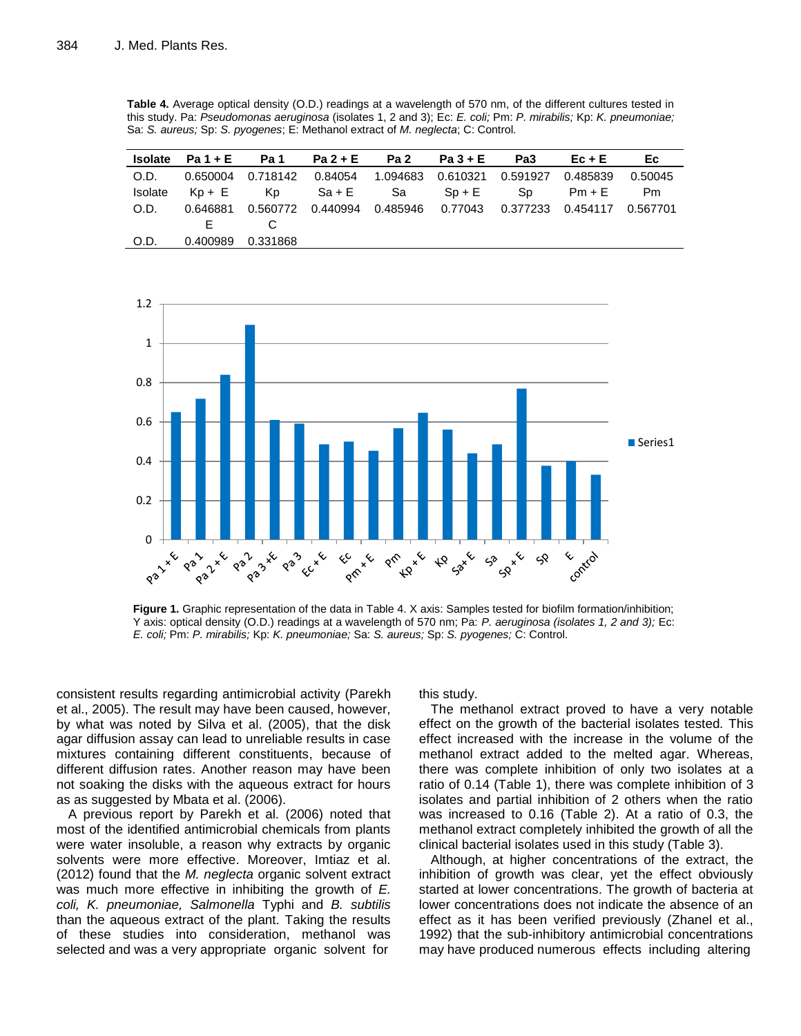**Table 4.** Average optical density (O.D.) readings at a wavelength of 570 nm, of the different cultures tested in this study. Pa: *Pseudomonas aeruginosa* (isolates 1, 2 and 3); Ec: *E. coli;* Pm: *P. mirabilis;* Kp: *K. pneumoniae;*  Sa: *S. aureus;* Sp: *S. pyogenes*; E: Methanol extract of *M. neglecta*; C: Control*.*

|         |          | $Isolate$ $Pa1 + E$ $Pa1$ $Pa2 + E$ $Pa2$ $Pa3 + E$ $Pa3$                     |  |  | $Ec + E$ | Ec.     |
|---------|----------|-------------------------------------------------------------------------------|--|--|----------|---------|
| O.D.    |          | 0.650004  0.718142  0.84054  1.094683  0.610321  0.591927  0.485839           |  |  |          | 0.50045 |
| Isolate |          | Kp+E Kp Sa+E Sa Sp+E Sp Pm+E Pm                                               |  |  |          |         |
| O.D.    |          | 0.646881  0.560772  0.440994  0.485946  0.77043  0.377233  0.454117  0.567701 |  |  |          |         |
|         | F.       | $\overline{c}$                                                                |  |  |          |         |
| O.D.    | 0.400989 | 0.331868                                                                      |  |  |          |         |



**Figure 1.** Graphic representation of the data in Table 4. X axis: Samples tested for biofilm formation/inhibition; Y axis: optical density (O.D.) readings at a wavelength of 570 nm; Pa: *P. aeruginosa (isolates 1, 2 and 3);* Ec: *E. coli;* Pm: *P. mirabilis;* Kp: *K. pneumoniae;* Sa: *S. aureus;* Sp: *S. pyogenes;* C: Control.

consistent results regarding antimicrobial activity (Parekh et al., 2005). The result may have been caused, however, by what was noted by Silva et al. (2005), that the disk agar diffusion assay can lead to unreliable results in case mixtures containing different constituents, because of different diffusion rates. Another reason may have been not soaking the disks with the aqueous extract for hours as as suggested by Mbata et al. (2006).

A previous report by Parekh et al. (2006) noted that most of the identified antimicrobial chemicals from plants were water insoluble, a reason why extracts by organic solvents were more effective. Moreover, Imtiaz et al. (2012) found that the *M. neglecta* organic solvent extract was much more effective in inhibiting the growth of *E. coli, K. pneumoniae, Salmonella* Typhi and *B. subtilis* than the aqueous extract of the plant. Taking the results of these studies into consideration, methanol was selected and was a very appropriate organic solvent for

this study.

The methanol extract proved to have a very notable effect on the growth of the bacterial isolates tested*.* This effect increased with the increase in the volume of the methanol extract added to the melted agar. Whereas, there was complete inhibition of only two isolates at a ratio of 0.14 (Table 1), there was complete inhibition of 3 isolates and partial inhibition of 2 others when the ratio was increased to 0.16 (Table 2). At a ratio of 0.3, the methanol extract completely inhibited the growth of all the clinical bacterial isolates used in this study (Table 3).

Although, at higher concentrations of the extract, the inhibition of growth was clear, yet the effect obviously started at lower concentrations. The growth of bacteria at lower concentrations does not indicate the absence of an effect as it has been verified previously (Zhanel et al., 1992) that the sub-inhibitory antimicrobial concentrations may have produced numerous effects including altering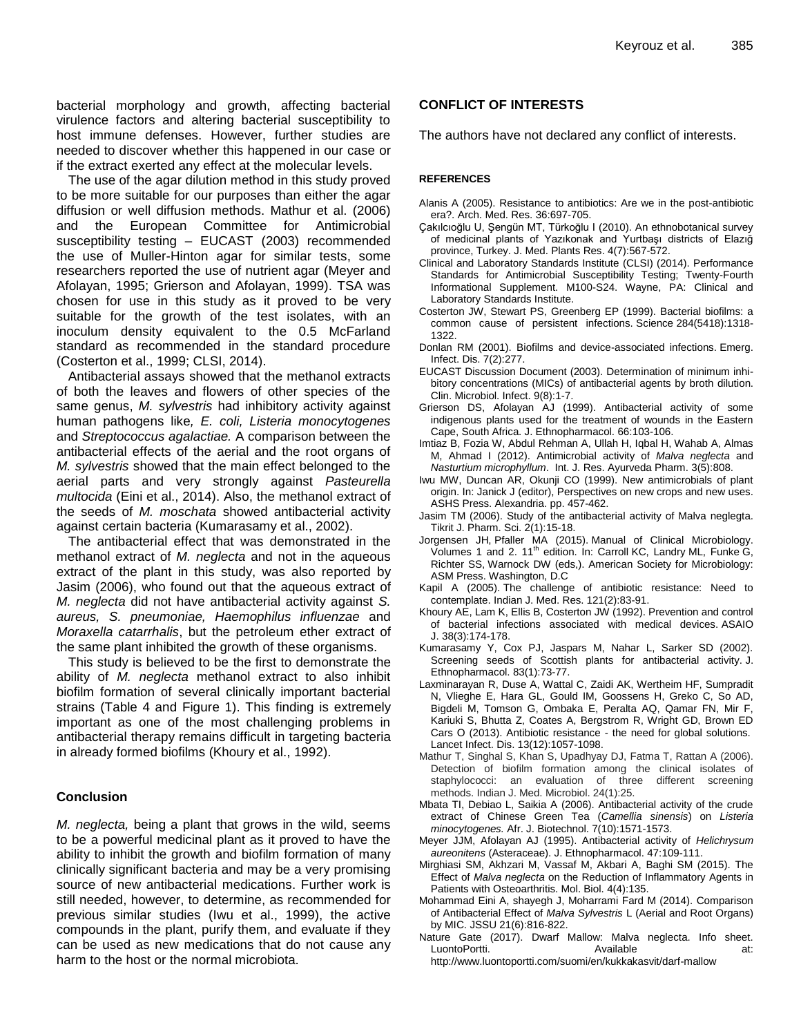bacterial morphology and growth, affecting bacterial virulence factors and altering bacterial susceptibility to host immune defenses. However, further studies are needed to discover whether this happened in our case or if the extract exerted any effect at the molecular levels.

The use of the agar dilution method in this study proved to be more suitable for our purposes than either the agar diffusion or well diffusion methods. Mathur et al. (2006) and the European Committee for Antimicrobial susceptibility testing – EUCAST (2003) recommended the use of Muller-Hinton agar for similar tests, some researchers reported the use of nutrient agar (Meyer and Afolayan, 1995; Grierson and Afolayan, 1999). TSA was chosen for use in this study as it proved to be very suitable for the growth of the test isolates, with an inoculum density equivalent to the 0.5 McFarland standard as recommended in the standard procedure (Costerton et al., 1999; CLSI, 2014).

Antibacterial assays showed that the methanol extracts of both the leaves and flowers of other species of the same genus, *M. sylvestris* had inhibitory activity against human pathogens like*, E. coli, Listeria monocytogenes* and *Streptococcus agalactiae.* A comparison between the antibacterial effects of the aerial and the root organs of *M. sylvestris* showed that the main effect belonged to the aerial parts and very strongly against *Pasteurella multocida* (Eini et al., 2014). Also, the methanol extract of the seeds of *M. moschata* showed antibacterial activity against certain bacteria (Kumarasamy et al., 2002).

The antibacterial effect that was demonstrated in the methanol extract of *M. neglecta* and not in the aqueous extract of the plant in this study, was also reported by Jasim (2006), who found out that the aqueous extract of *M. neglecta* did not have antibacterial activity against *S. aureus, S. pneumoniae, Haemophilus influenzae* and *Moraxella catarrhalis*, but the petroleum ether extract of the same plant inhibited the growth of these organisms.

This study is believed to be the first to demonstrate the ability of *M. neglecta* methanol extract to also inhibit biofilm formation of several clinically important bacterial strains (Table 4 and Figure 1). This finding is extremely important as one of the most challenging problems in antibacterial therapy remains difficult in targeting bacteria in already formed biofilms (Khoury et al., 1992).

#### **Conclusion**

*M. neglecta,* being a plant that grows in the wild, seems to be a powerful medicinal plant as it proved to have the ability to inhibit the growth and biofilm formation of many clinically significant bacteria and may be a very promising source of new antibacterial medications. Further work is still needed, however, to determine, as recommended for previous similar studies (Iwu et al., 1999), the active compounds in the plant, purify them, and evaluate if they can be used as new medications that do not cause any harm to the host or the normal microbiota.

# **CONFLICT OF INTERESTS**

The authors have not declared any conflict of interests.

#### **REFERENCES**

- Alanis A (2005). Resistance to antibiotics: Are we in the post-antibiotic era?. Arch. Med. Res. 36:697-705.
- Çakılcıoğlu U, Şengün MT, Türkoğlu I (2010). An ethnobotanical survey of medicinal plants of Yazıkonak and Yurtbaşı districts of Elazığ province, Turkey. J. Med. Plants Res. 4(7):567-572.
- Clinical and Laboratory Standards Institute (CLSI) (2014). Performance Standards for Antimicrobial Susceptibility Testing; Twenty-Fourth Informational Supplement. M100-S24. Wayne, PA: Clinical and Laboratory Standards Institute.
- Costerton JW, Stewart PS, Greenberg EP (1999). Bacterial biofilms: a common cause of persistent infections. Science 284(5418):1318- 1322.
- Donlan RM (2001). Biofilms and device-associated infections. Emerg. Infect. Dis. 7(2):277.
- EUCAST Discussion Document (2003). Determination of minimum inhibitory concentrations (MICs) of antibacterial agents by broth dilution. Clin. Microbiol. Infect. 9(8):1-7.
- Grierson DS, Afolayan AJ (1999). Antibacterial activity of some indigenous plants used for the treatment of wounds in the Eastern Cape, South Africa. J. Ethnopharmacol. 66:103-106.
- Imtiaz B, Fozia W, Abdul Rehman A, Ullah H, Iqbal H, Wahab A, Almas M, Ahmad I (2012). Antimicrobial activity of *Malva neglecta* and *Nasturtium microphyllum*. Int. J. Res. Ayurveda Pharm. 3(5):808.
- Iwu MW, Duncan AR, Okunji CO (1999). New antimicrobials of plant origin. In: Janick J (editor), Perspectives on new crops and new uses. ASHS Press. Alexandria. pp. 457-462.
- Jasim TM (2006). Study of the antibacterial activity of Malva neglegta. Tikrit J. Pharm. Sci. 2(1):15-18.
- Jorgensen JH, Pfaller MA (2015). Manual of Clinical Microbiology. Volumes 1 and 2. 11<sup>th</sup> edition. In: Carroll KC, Landry ML, Funke G, Richter SS, Warnock DW (eds,). American Society for Microbiology: ASM Press. Washington, D.C
- Kapil A (2005). The challenge of antibiotic resistance: Need to contemplate. Indian J. Med. Res. 121(2):83-91.
- Khoury AE, Lam K, Ellis B, Costerton JW (1992). Prevention and control of bacterial infections associated with medical devices. ASAIO J. 38(3):174-178.
- Kumarasamy Y, Cox PJ, Jaspars M, Nahar L, Sarker SD (2002). Screening seeds of Scottish plants for antibacterial activity. J. Ethnopharmacol. 83(1):73-77.
- Laxminarayan R, Duse A, Wattal C, Zaidi AK, Wertheim HF, Sumpradit N, Vlieghe E, Hara GL, Gould IM, Goossens H, Greko C, So AD, Bigdeli M, Tomson G, Ombaka E, Peralta AQ, Qamar FN, Mir F, Kariuki S, Bhutta Z, Coates A, Bergstrom R, Wright GD, Brown ED Cars O (2013). Antibiotic resistance - the need for global solutions. Lancet Infect. Dis. 13(12):1057-1098.
- Mathur T, Singhal S, Khan S, Upadhyay DJ, Fatma T, Rattan A (2006). Detection of biofilm formation among the clinical isolates of staphylococci: an evaluation of three different screening methods. Indian J. Med. Microbiol. 24(1):25.
- Mbata TI, Debiao L, Saikia A (2006). Antibacterial activity of the crude extract of Chinese Green Tea (*Camellia sinensis*) on *Listeria minocytogenes.* Afr. J. Biotechnol. 7(10):1571-1573.
- Meyer JJM, Afolayan AJ (1995). Antibacterial activity of *Helichrysum aureonitens* (Asteraceae). J. Ethnopharmacol. 47:109-111.
- Mirghiasi SM, Akhzari M, Vassaf M, Akbari A, Baghi SM (2015). The Effect of *Malva neglecta* on the Reduction of Inflammatory Agents in Patients with Osteoarthritis. Mol. Biol. 4(4):135.
- Mohammad Eini A, shayegh J, Moharrami Fard M (2014). Comparison of Antibacterial Effect of *Malva Sylvestris* L (Aerial and Root Organs) by MIC. JSSU 21(6):816-822.
- Nature Gate (2017). Dwarf Mallow: Malva neglecta. Info sheet. LuontoPortti. Available at: http://www.luontoportti.com/suomi/en/kukkakasvit/darf-mallow